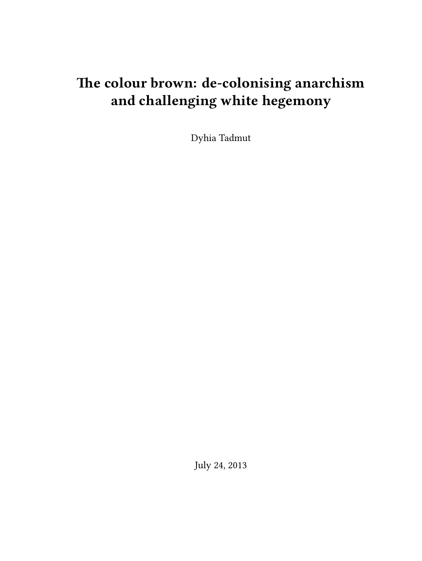# **The colour brown: de-colonising anarchism and challenging white hegemony**

Dyhia Tadmut

July 24, 2013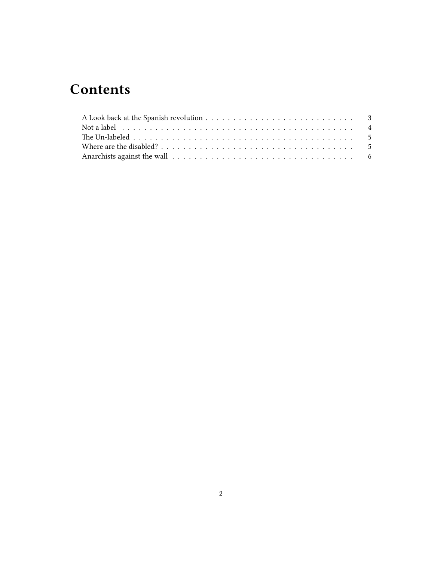# **Contents**

| Not a label $\ldots \ldots \ldots \ldots \ldots \ldots \ldots \ldots \ldots \ldots \ldots \ldots$ |  |
|---------------------------------------------------------------------------------------------------|--|
|                                                                                                   |  |
|                                                                                                   |  |
|                                                                                                   |  |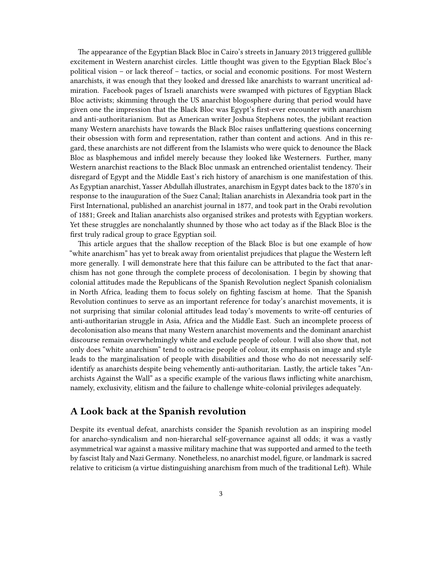The appearance of the Egyptian Black Bloc in Cairo's streets in January 2013 triggered gullible excitement in Western anarchist circles. Little thought was given to the Egyptian Black Bloc's political vision – or lack thereof – tactics, or social and economic positions. For most Western anarchists, it was enough that they looked and dressed like anarchists to warrant uncritical admiration. Facebook pages of Israeli anarchists were swamped with pictures of Egyptian Black Bloc activists; skimming through the US anarchist blogosphere during that period would have given one the impression that the Black Bloc was Egypt's first-ever encounter with anarchism and anti-authoritarianism. But as American writer Joshua Stephens notes, the jubilant reaction many Western anarchists have towards the Black Bloc raises unflattering questions concerning their obsession with form and representation, rather than content and actions. And in this regard, these anarchists are not different from the Islamists who were quick to denounce the Black Bloc as blasphemous and infidel merely because they looked like Westerners. Further, many Western anarchist reactions to the Black Bloc unmask an entrenched orientalist tendency. Their disregard of Egypt and the Middle East's rich history of anarchism is one manifestation of this. As Egyptian anarchist, Yasser Abdullah illustrates, anarchism in Egypt dates back to the 1870's in response to the inauguration of the Suez Canal; Italian anarchists in Alexandria took part in the First International, published an anarchist journal in 1877, and took part in the Orabi revolution of 1881; Greek and Italian anarchists also organised strikes and protests with Egyptian workers. Yet these struggles are nonchalantly shunned by those who act today as if the Black Bloc is the first truly radical group to grace Egyptian soil.

This article argues that the shallow reception of the Black Bloc is but one example of how "white anarchism" has yet to break away from orientalist prejudices that plague the Western left more generally. I will demonstrate here that this failure can be attributed to the fact that anarchism has not gone through the complete process of decolonisation. I begin by showing that colonial attitudes made the Republicans of the Spanish Revolution neglect Spanish colonialism in North Africa, leading them to focus solely on fighting fascism at home. That the Spanish Revolution continues to serve as an important reference for today's anarchist movements, it is not surprising that similar colonial attitudes lead today's movements to write-off centuries of anti-authoritarian struggle in Asia, Africa and the Middle East. Such an incomplete process of decolonisation also means that many Western anarchist movements and the dominant anarchist discourse remain overwhelmingly white and exclude people of colour. I will also show that, not only does "white anarchism" tend to ostracise people of colour, its emphasis on image and style leads to the marginalisation of people with disabilities and those who do not necessarily selfidentify as anarchists despite being vehemently anti-authoritarian. Lastly, the article takes "Anarchists Against the Wall" as a specific example of the various flaws inflicting white anarchism, namely, exclusivity, elitism and the failure to challenge white-colonial privileges adequately.

### <span id="page-2-0"></span>**A Look back at the Spanish revolution**

Despite its eventual defeat, anarchists consider the Spanish revolution as an inspiring model for anarcho-syndicalism and non-hierarchal self-governance against all odds; it was a vastly asymmetrical war against a massive military machine that was supported and armed to the teeth by fascist Italy and Nazi Germany. Nonetheless, no anarchist model, figure, or landmark is sacred relative to criticism (a virtue distinguishing anarchism from much of the traditional Left). While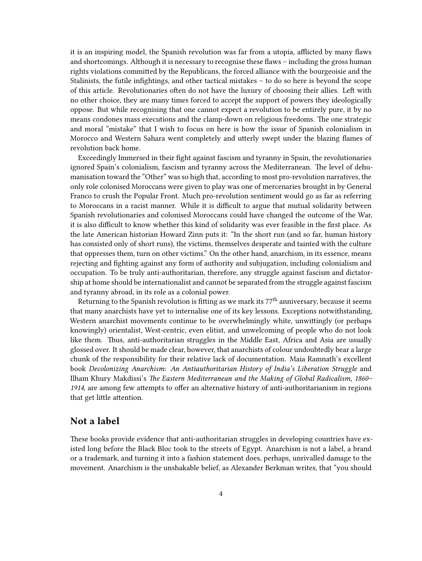it is an inspiring model, the Spanish revolution was far from a utopia, afflicted by many flaws and shortcomings. Although it is necessary to recognise these flaws – including the gross human rights violations committed by the Republicans, the forced alliance with the bourgeoisie and the Stalinists, the futile infightings, and other tactical mistakes – to do so here is beyond the scope of this article. Revolutionaries often do not have the luxury of choosing their allies. Left with no other choice, they are many times forced to accept the support of powers they ideologically oppose. But while recognising that one cannot expect a revolution to be entirely pure, it by no means condones mass executions and the clamp-down on religious freedoms. The one strategic and moral "mistake" that I wish to focus on here is how the issue of Spanish colonialism in Morocco and Western Sahara went completely and utterly swept under the blazing flames of revolution back home.

Exceedingly Immersed in their fight against fascism and tyranny in Spain, the revolutionaries ignored Spain's colonialism, fascism and tyranny across the Mediterranean. The level of dehumanisation toward the "Other" was so high that, according to most pro-revolution narratives, the only role colonised Moroccans were given to play was one of mercenaries brought in by General Franco to crush the Popular Front. Much pro-revolution sentiment would go as far as referring to Moroccans in a racist manner. While it is difficult to argue that mutual solidarity between Spanish revolutionaries and colonised Moroccans could have changed the outcome of the War, it is also difficult to know whether this kind of solidarity was ever feasible in the first place. As the late American historian Howard Zinn puts it: "In the short run (and so far, human history has consisted only of short runs), the victims, themselves desperate and tainted with the culture that oppresses them, turn on other victims." On the other hand, anarchism, in its essence, means rejecting and fighting against any form of authority and subjugation, including colonialism and occupation. To be truly anti-authoritarian, therefore, any struggle against fascism and dictatorship at home should be internationalist and cannot be separated from the struggle against fascism and tyranny abroad, in its role as a colonial power.

Returning to the Spanish revolution is fitting as we mark its 77<sup>th</sup> anniversary, because it seems that many anarchists have yet to internalise one of its key lessons. Exceptions notwithstanding, Western anarchist movements continue to be overwhelmingly white, unwittingly (or perhaps knowingly) orientalist, West-centric, even elitist, and unwelcoming of people who do not look like them. Thus, anti-authoritarian struggles in the Middle East, Africa and Asia are usually glossed over. It should be made clear, however, that anarchists of colour undoubtedly bear a large chunk of the responsibility for their relative lack of documentation. Maia Ramnath's excellent book *Decolonizing Anarchism: An Antiauthoritarian History of India's Liberation Struggle* and Ilham Khury Makdissi's *The Eastern Mediterranean and the Making of Global Radicalism, 1860– 1914,* are among few attempts to offer an alternative history of anti-authoritarianism in regions that get little attention.

# <span id="page-3-0"></span>**Not a label**

These books provide evidence that anti-authoritarian struggles in developing countries have existed long before the Black Bloc took to the streets of Egypt. Anarchism is not a label, a brand or a trademark, and turning it into a fashion statement does, perhaps, unrivalled damage to the movement. Anarchism is the unshakable belief, as Alexander Berkman writes, that "you should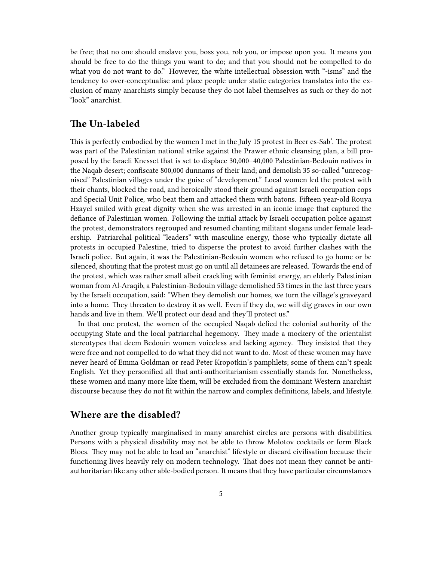be free; that no one should enslave you, boss you, rob you, or impose upon you. It means you should be free to do the things you want to do; and that you should not be compelled to do what you do not want to do." However, the white intellectual obsession with "-isms" and the tendency to over-conceptualise and place people under static categories translates into the exclusion of many anarchists simply because they do not label themselves as such or they do not "look" anarchist.

### <span id="page-4-0"></span>**The Un-labeled**

This is perfectly embodied by the women I met in the July 15 protest in Beer es-Sab'. The protest was part of the Palestinian national strike against the Prawer ethnic cleansing plan, a bill proposed by the Israeli Knesset that is set to displace 30,000–40,000 Palestinian-Bedouin natives in the Naqab desert; confiscate 800,000 dunnams of their land; and demolish 35 so-called "unrecognised" Palestinian villages under the guise of "development." Local women led the protest with their chants, blocked the road, and heroically stood their ground against Israeli occupation cops and Special Unit Police, who beat them and attacked them with batons. Fifteen year-old Rouya Hzayel smiled with great dignity when she was arrested in an iconic image that captured the defiance of Palestinian women. Following the initial attack by Israeli occupation police against the protest, demonstrators regrouped and resumed chanting militant slogans under female leadership. Patriarchal political "leaders" with masculine energy, those who typically dictate all protests in occupied Palestine, tried to disperse the protest to avoid further clashes with the Israeli police. But again, it was the Palestinian-Bedouin women who refused to go home or be silenced, shouting that the protest must go on until all detainees are released. Towards the end of the protest, which was rather small albeit crackling with feminist energy, an elderly Palestinian woman from Al-Araqib, a Palestinian-Bedouin village demolished 53 times in the last three years by the Israeli occupation, said: "When they demolish our homes, we turn the village's graveyard into a home. They threaten to destroy it as well. Even if they do, we will dig graves in our own hands and live in them. We'll protect our dead and they'll protect us."

In that one protest, the women of the occupied Naqab defied the colonial authority of the occupying State and the local patriarchal hegemony. They made a mockery of the orientalist stereotypes that deem Bedouin women voiceless and lacking agency. They insisted that they were free and not compelled to do what they did not want to do. Most of these women may have never heard of Emma Goldman or read Peter Kropotkin's pamphlets; some of them can't speak English. Yet they personified all that anti-authoritarianism essentially stands for. Nonetheless, these women and many more like them, will be excluded from the dominant Western anarchist discourse because they do not fit within the narrow and complex definitions, labels, and lifestyle.

#### <span id="page-4-1"></span>**Where are the disabled?**

Another group typically marginalised in many anarchist circles are persons with disabilities. Persons with a physical disability may not be able to throw Molotov cocktails or form Black Blocs. They may not be able to lead an "anarchist" lifestyle or discard civilisation because their functioning lives heavily rely on modern technology. That does not mean they cannot be antiauthoritarian like any other able-bodied person. It means that they have particular circumstances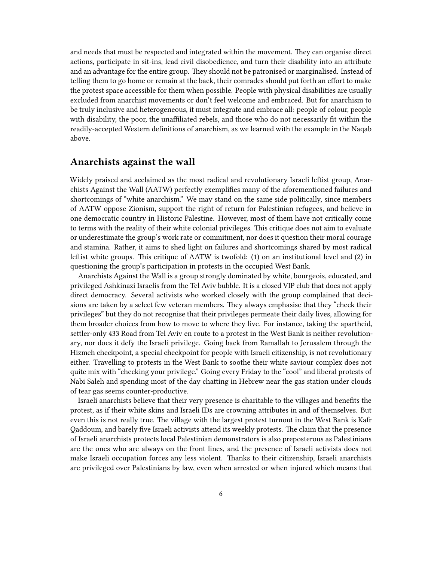and needs that must be respected and integrated within the movement. They can organise direct actions, participate in sit-ins, lead civil disobedience, and turn their disability into an attribute and an advantage for the entire group. They should not be patronised or marginalised. Instead of telling them to go home or remain at the back, their comrades should put forth an effort to make the protest space accessible for them when possible. People with physical disabilities are usually excluded from anarchist movements or don't feel welcome and embraced. But for anarchism to be truly inclusive and heterogeneous, it must integrate and embrace all: people of colour, people with disability, the poor, the unaffiliated rebels, and those who do not necessarily fit within the readily-accepted Western definitions of anarchism, as we learned with the example in the Naqab above.

## <span id="page-5-0"></span>**Anarchists against the wall**

Widely praised and acclaimed as the most radical and revolutionary Israeli leftist group, Anarchists Against the Wall (AATW) perfectly exemplifies many of the aforementioned failures and shortcomings of "white anarchism." We may stand on the same side politically, since members of AATW oppose Zionism, support the right of return for Palestinian refugees, and believe in one democratic country in Historic Palestine. However, most of them have not critically come to terms with the reality of their white colonial privileges. This critique does not aim to evaluate or underestimate the group's work rate or commitment, nor does it question their moral courage and stamina. Rather, it aims to shed light on failures and shortcomings shared by most radical leftist white groups. This critique of AATW is twofold: (1) on an institutional level and (2) in questioning the group's participation in protests in the occupied West Bank.

Anarchists Against the Wall is a group strongly dominated by white, bourgeois, educated, and privileged Ashkinazi Israelis from the Tel Aviv bubble. It is a closed VIP club that does not apply direct democracy. Several activists who worked closely with the group complained that decisions are taken by a select few veteran members. They always emphasise that they "check their privileges" but they do not recognise that their privileges permeate their daily lives, allowing for them broader choices from how to move to where they live. For instance, taking the apartheid, settler-only 433 Road from Tel Aviv en route to a protest in the West Bank is neither revolutionary, nor does it defy the Israeli privilege. Going back from Ramallah to Jerusalem through the Hizmeh checkpoint, a special checkpoint for people with Israeli citizenship, is not revolutionary either. Travelling to protests in the West Bank to soothe their white saviour complex does not quite mix with "checking your privilege." Going every Friday to the "cool" and liberal protests of Nabi Saleh and spending most of the day chatting in Hebrew near the gas station under clouds of tear gas seems counter-productive.

Israeli anarchists believe that their very presence is charitable to the villages and benefits the protest, as if their white skins and Israeli IDs are crowning attributes in and of themselves. But even this is not really true. The village with the largest protest turnout in the West Bank is Kafr Qaddoum, and barely five Israeli activists attend its weekly protests. The claim that the presence of Israeli anarchists protects local Palestinian demonstrators is also preposterous as Palestinians are the ones who are always on the front lines, and the presence of Israeli activists does not make Israeli occupation forces any less violent. Thanks to their citizenship, Israeli anarchists are privileged over Palestinians by law, even when arrested or when injured which means that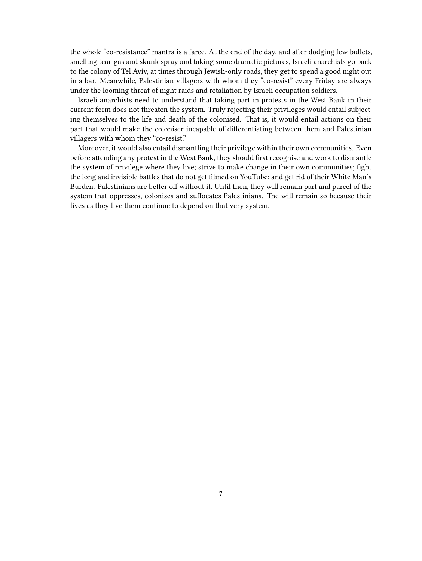the whole "co-resistance" mantra is a farce. At the end of the day, and after dodging few bullets, smelling tear-gas and skunk spray and taking some dramatic pictures, Israeli anarchists go back to the colony of Tel Aviv, at times through Jewish-only roads, they get to spend a good night out in a bar. Meanwhile, Palestinian villagers with whom they "co-resist" every Friday are always under the looming threat of night raids and retaliation by Israeli occupation soldiers.

Israeli anarchists need to understand that taking part in protests in the West Bank in their current form does not threaten the system. Truly rejecting their privileges would entail subjecting themselves to the life and death of the colonised. That is, it would entail actions on their part that would make the coloniser incapable of differentiating between them and Palestinian villagers with whom they "co-resist."

Moreover, it would also entail dismantling their privilege within their own communities. Even before attending any protest in the West Bank, they should first recognise and work to dismantle the system of privilege where they live; strive to make change in their own communities; fight the long and invisible battles that do not get filmed on YouTube; and get rid of their White Man's Burden. Palestinians are better off without it. Until then, they will remain part and parcel of the system that oppresses, colonises and suffocates Palestinians. The will remain so because their lives as they live them continue to depend on that very system.